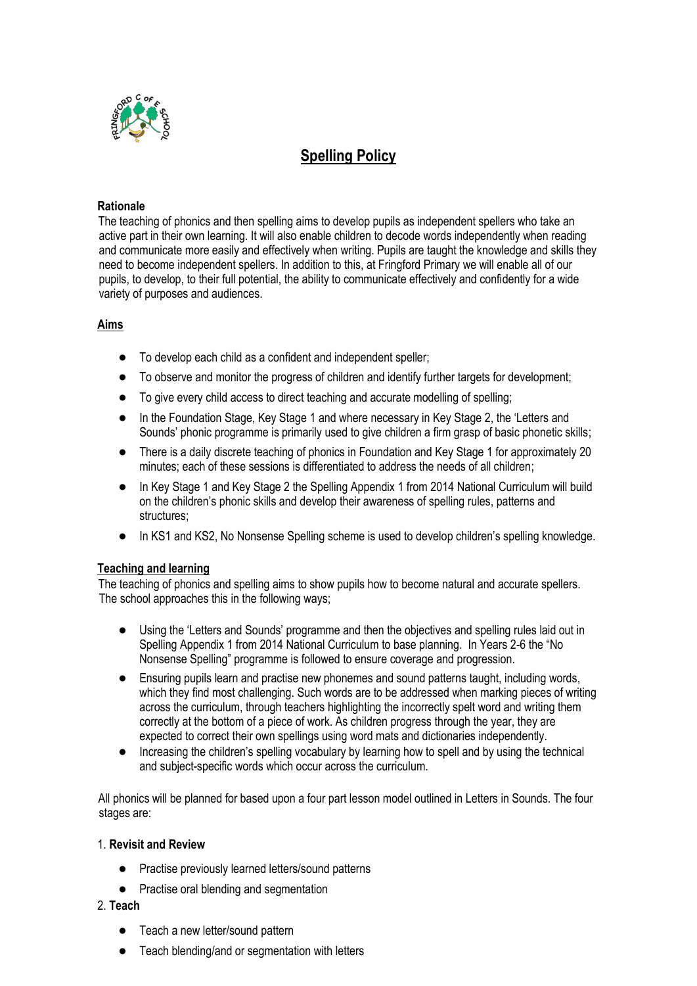

# **Spelling Policy**

# **Rationale**

The teaching of phonics and then spelling aims to develop pupils as independent spellers who take an active part in their own learning. It will also enable children to decode words independently when reading and communicate more easily and effectively when writing. Pupils are taught the knowledge and skills they need to become independent spellers. In addition to this, at Fringford Primary we will enable all of our pupils, to develop, to their full potential, the ability to communicate effectively and confidently for a wide variety of purposes and audiences.

# **Aims**

- To develop each child as a confident and independent speller;
- To observe and monitor the progress of children and identify further targets for development;
- To give every child access to direct teaching and accurate modelling of spelling;
- In the Foundation Stage, Key Stage 1 and where necessary in Key Stage 2, the 'Letters and Sounds' phonic programme is primarily used to give children a firm grasp of basic phonetic skills;
- There is a daily discrete teaching of phonics in Foundation and Key Stage 1 for approximately 20 minutes; each of these sessions is differentiated to address the needs of all children;
- In Key Stage 1 and Key Stage 2 the Spelling Appendix 1 from 2014 National Curriculum will build on the children's phonic skills and develop their awareness of spelling rules, patterns and structures;
- In KS1 and KS2, No Nonsense Spelling scheme is used to develop children's spelling knowledge.

# **Teaching and learning**

The teaching of phonics and spelling aims to show pupils how to become natural and accurate spellers. The school approaches this in the following ways;

- Using the 'Letters and Sounds' programme and then the objectives and spelling rules laid out in Spelling Appendix 1 from 2014 National Curriculum to base planning. In Years 2-6 the "No Nonsense Spelling" programme is followed to ensure coverage and progression.
- Ensuring pupils learn and practise new phonemes and sound patterns taught, including words, which they find most challenging. Such words are to be addressed when marking pieces of writing across the curriculum, through teachers highlighting the incorrectly spelt word and writing them correctly at the bottom of a piece of work. As children progress through the year, they are expected to correct their own spellings using word mats and dictionaries independently.
- Increasing the children's spelling vocabulary by learning how to spell and by using the technical and subject-specific words which occur across the curriculum.

All phonics will be planned for based upon a four part lesson model outlined in Letters in Sounds. The four stages are:

# 1. **Revisit and Review**

- Practise previously learned letters/sound patterns
- Practise oral blending and segmentation
- 2. **Teach**
	- Teach a new letter/sound pattern
	- Teach blending/and or segmentation with letters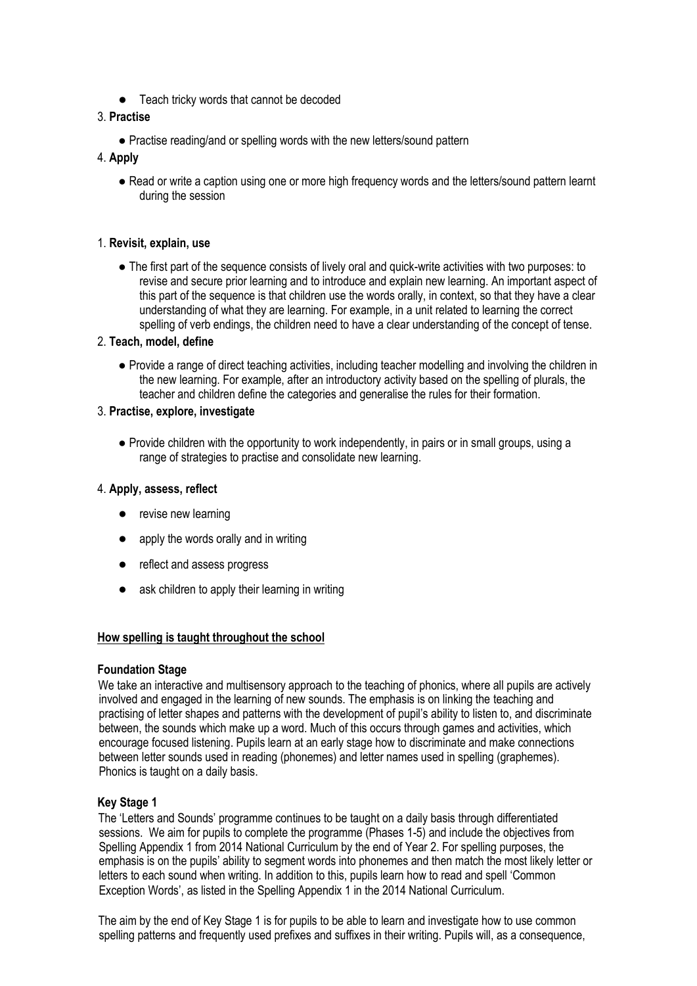● Teach tricky words that cannot be decoded

# 3. **Practise**

• Practise reading/and or spelling words with the new letters/sound pattern

# 4. **Apply**

● Read or write a caption using one or more high frequency words and the letters/sound pattern learnt during the session

# 1. **Revisit, explain, use**

● The first part of the sequence consists of lively oral and quick-write activities with two purposes: to revise and secure prior learning and to introduce and explain new learning. An important aspect of this part of the sequence is that children use the words orally, in context, so that they have a clear understanding of what they are learning. For example, in a unit related to learning the correct spelling of verb endings, the children need to have a clear understanding of the concept of tense.

# 2. **Teach, model, define**

● Provide a range of direct teaching activities, including teacher modelling and involving the children in the new learning. For example, after an introductory activity based on the spelling of plurals, the teacher and children define the categories and generalise the rules for their formation.

# 3. **Practise, explore, investigate**

● Provide children with the opportunity to work independently, in pairs or in small groups, using a range of strategies to practise and consolidate new learning.

# 4. **Apply, assess, reflect**

- revise new learning
- apply the words orally and in writing
- reflect and assess progress
- ask children to apply their learning in writing

# **How spelling is taught throughout the school**

# **Foundation Stage**

We take an interactive and multisensory approach to the teaching of phonics, where all pupils are actively involved and engaged in the learning of new sounds. The emphasis is on linking the teaching and practising of letter shapes and patterns with the development of pupil's ability to listen to, and discriminate between, the sounds which make up a word. Much of this occurs through games and activities, which encourage focused listening. Pupils learn at an early stage how to discriminate and make connections between letter sounds used in reading (phonemes) and letter names used in spelling (graphemes). Phonics is taught on a daily basis.

# **Key Stage 1**

The 'Letters and Sounds' programme continues to be taught on a daily basis through differentiated sessions. We aim for pupils to complete the programme (Phases 1-5) and include the objectives from Spelling Appendix 1 from 2014 National Curriculum by the end of Year 2. For spelling purposes, the emphasis is on the pupils' ability to segment words into phonemes and then match the most likely letter or letters to each sound when writing. In addition to this, pupils learn how to read and spell 'Common Exception Words', as listed in the Spelling Appendix 1 in the 2014 National Curriculum.

The aim by the end of Key Stage 1 is for pupils to be able to learn and investigate how to use common spelling patterns and frequently used prefixes and suffixes in their writing. Pupils will, as a consequence,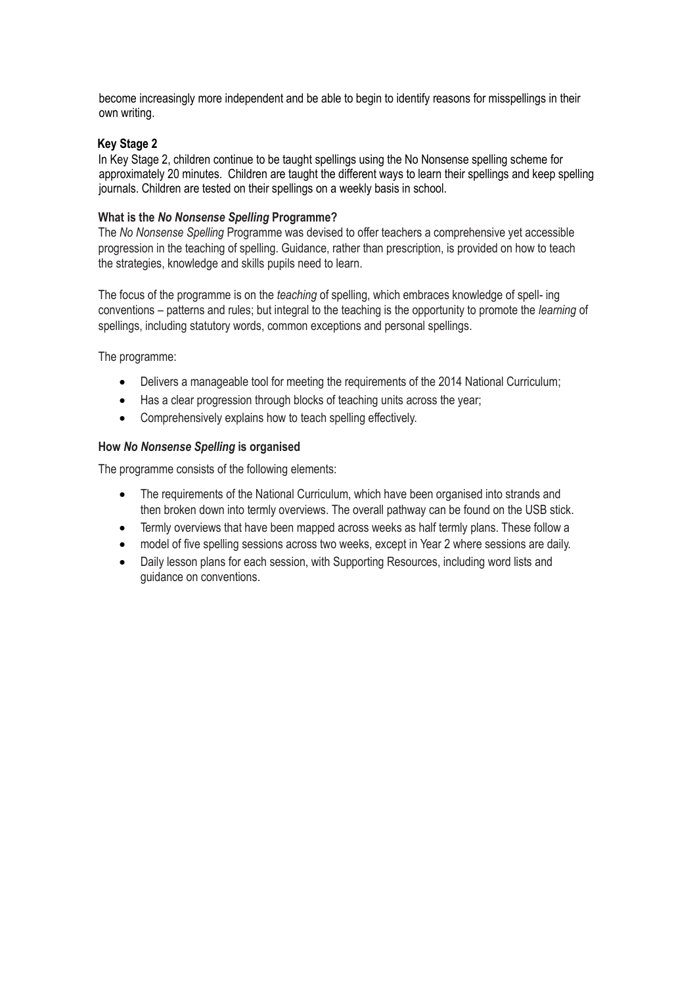become increasingly more independent and be able to begin to identify reasons for misspellings in their own writing.

# **Key Stage 2**

In Key Stage 2, children continue to be taught spellings using the No Nonsense spelling scheme for approximately 20 minutes. Children are taught the different ways to learn their spellings and keep spelling journals. Children are tested on their spellings on a weekly basis in school.

# **What is the** *No Nonsense Spelling* **Programme?**

The *No Nonsense Spelling* Programme was devised to offer teachers a comprehensive yet accessible progression in the teaching of spelling. Guidance, rather than prescription, is provided on how to teach the strategies, knowledge and skills pupils need to learn.

The focus of the programme is on the *teaching* of spelling, which embraces knowledge of spell- ing conventions – patterns and rules; but integral to the teaching is the opportunity to promote the *learning* of spellings, including statutory words, common exceptions and personal spellings.

The programme:

- Delivers a manageable tool for meeting the requirements of the 2014 National Curriculum;
- Has a clear progression through blocks of teaching units across the year;
- Comprehensively explains how to teach spelling effectively.

# **How** *No Nonsense Spelling* **is organised**

The programme consists of the following elements:

- The requirements of the National Curriculum, which have been organised into strands and then broken down into termly overviews. The overall pathway can be found on the USB stick.
- Termly overviews that have been mapped across weeks as half termly plans. These follow a
- model of five spelling sessions across two weeks, except in Year 2 where sessions are daily.
- Daily lesson plans for each session, with Supporting Resources, including word lists and guidance on conventions.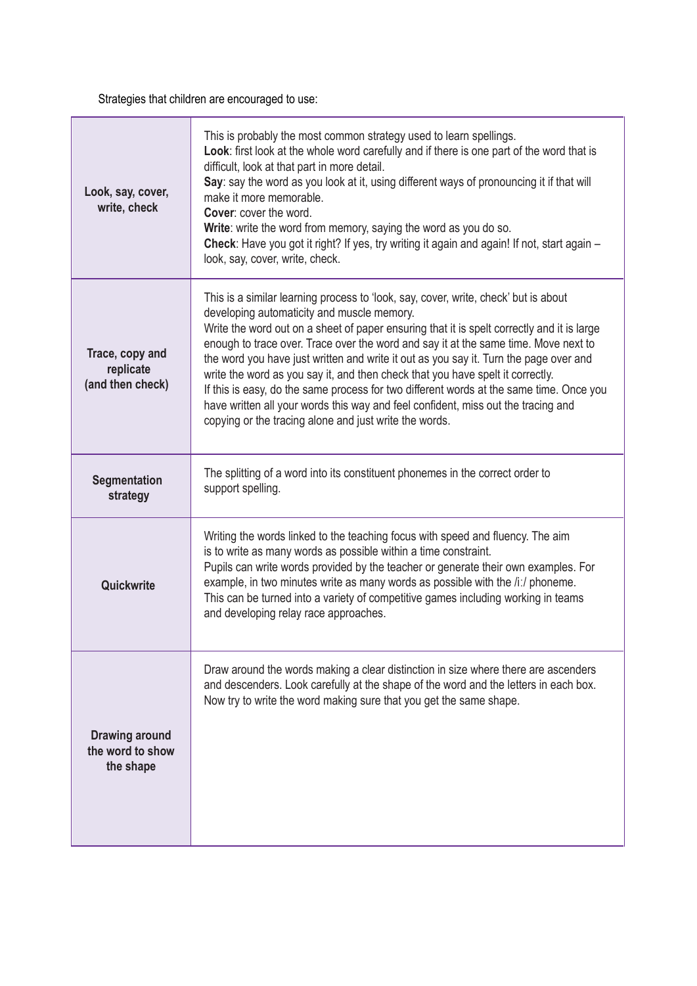Strategies that children are encouraged to use:

| Look, say, cover,<br>write, check                      | This is probably the most common strategy used to learn spellings.<br>Look: first look at the whole word carefully and if there is one part of the word that is<br>difficult, look at that part in more detail.<br>Say: say the word as you look at it, using different ways of pronouncing it if that will<br>make it more memorable.<br><b>Cover: cover the word.</b><br>Write: write the word from memory, saying the word as you do so.<br>Check: Have you got it right? If yes, try writing it again and again! If not, start again -<br>look, say, cover, write, check.                                                                                                                                                               |
|--------------------------------------------------------|---------------------------------------------------------------------------------------------------------------------------------------------------------------------------------------------------------------------------------------------------------------------------------------------------------------------------------------------------------------------------------------------------------------------------------------------------------------------------------------------------------------------------------------------------------------------------------------------------------------------------------------------------------------------------------------------------------------------------------------------|
| Trace, copy and<br>replicate<br>(and then check)       | This is a similar learning process to 'look, say, cover, write, check' but is about<br>developing automaticity and muscle memory.<br>Write the word out on a sheet of paper ensuring that it is spelt correctly and it is large<br>enough to trace over. Trace over the word and say it at the same time. Move next to<br>the word you have just written and write it out as you say it. Turn the page over and<br>write the word as you say it, and then check that you have spelt it correctly.<br>If this is easy, do the same process for two different words at the same time. Once you<br>have written all your words this way and feel confident, miss out the tracing and<br>copying or the tracing alone and just write the words. |
| Segmentation<br>strategy                               | The splitting of a word into its constituent phonemes in the correct order to<br>support spelling.                                                                                                                                                                                                                                                                                                                                                                                                                                                                                                                                                                                                                                          |
| Quickwrite                                             | Writing the words linked to the teaching focus with speed and fluency. The aim<br>is to write as many words as possible within a time constraint.<br>Pupils can write words provided by the teacher or generate their own examples. For<br>example, in two minutes write as many words as possible with the /i:/ phoneme.<br>This can be turned into a variety of competitive games including working in teams<br>and developing relay race approaches.                                                                                                                                                                                                                                                                                     |
| <b>Drawing around</b><br>the word to show<br>the shape | Draw around the words making a clear distinction in size where there are ascenders<br>and descenders. Look carefully at the shape of the word and the letters in each box.<br>Now try to write the word making sure that you get the same shape.                                                                                                                                                                                                                                                                                                                                                                                                                                                                                            |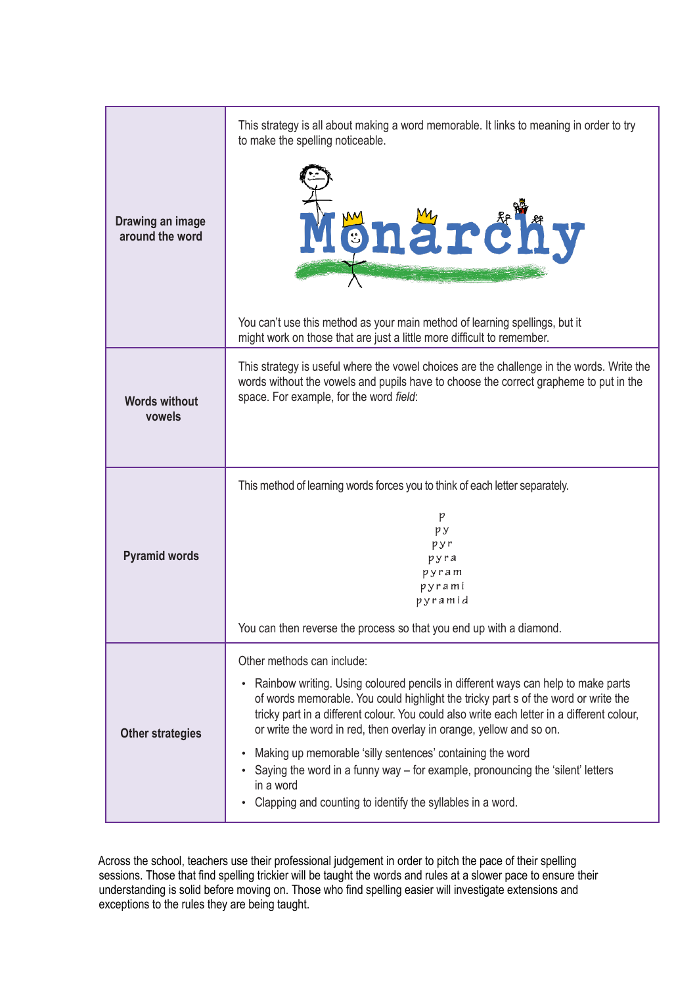|                                     | This strategy is all about making a word memorable. It links to meaning in order to try<br>to make the spelling noticeable.                                                                                                                                                                                                                                                                                                                                                                                                                                                                                      |
|-------------------------------------|------------------------------------------------------------------------------------------------------------------------------------------------------------------------------------------------------------------------------------------------------------------------------------------------------------------------------------------------------------------------------------------------------------------------------------------------------------------------------------------------------------------------------------------------------------------------------------------------------------------|
| Drawing an image<br>around the word | Mönärchy                                                                                                                                                                                                                                                                                                                                                                                                                                                                                                                                                                                                         |
|                                     | You can't use this method as your main method of learning spellings, but it<br>might work on those that are just a little more difficult to remember.                                                                                                                                                                                                                                                                                                                                                                                                                                                            |
| <b>Words without</b><br>vowels      | This strategy is useful where the vowel choices are the challenge in the words. Write the<br>words without the vowels and pupils have to choose the correct grapheme to put in the<br>space. For example, for the word field:                                                                                                                                                                                                                                                                                                                                                                                    |
|                                     | This method of learning words forces you to think of each letter separately.                                                                                                                                                                                                                                                                                                                                                                                                                                                                                                                                     |
| <b>Pyramid words</b>                | р<br>pу<br>pyr<br>pyra<br>pyram<br>pyrami<br>pyramid                                                                                                                                                                                                                                                                                                                                                                                                                                                                                                                                                             |
|                                     | You can then reverse the process so that you end up with a diamond                                                                                                                                                                                                                                                                                                                                                                                                                                                                                                                                               |
| <b>Other strategies</b>             | Other methods can include:<br>Rainbow writing. Using coloured pencils in different ways can help to make parts<br>$\bullet$<br>of words memorable. You could highlight the tricky part s of the word or write the<br>tricky part in a different colour. You could also write each letter in a different colour,<br>or write the word in red, then overlay in orange, yellow and so on.<br>Making up memorable 'silly sentences' containing the word<br>Saying the word in a funny way – for example, pronouncing the 'silent' letters<br>in a word<br>Clapping and counting to identify the syllables in a word. |

Across the school, teachers use their professional judgement in order to pitch the pace of their spelling sessions. Those that find spelling trickier will be taught the words and rules at a slower pace to ensure their understanding is solid before moving on. Those who find spelling easier will investigate extensions and exceptions to the rules they are being taught.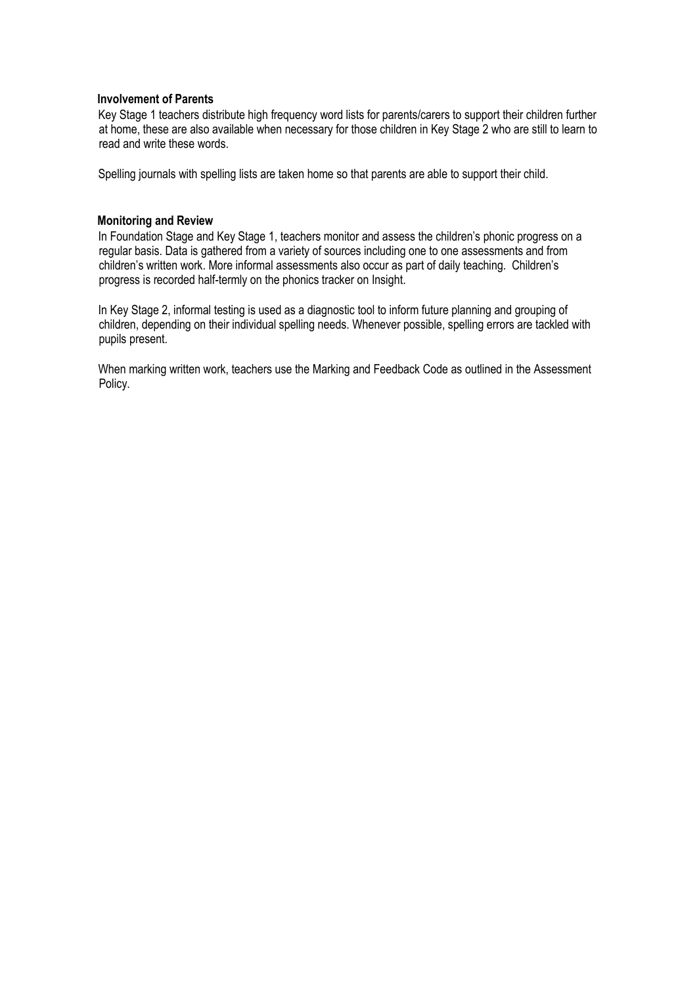# **Involvement of Parents**

Key Stage 1 teachers distribute high frequency word lists for parents/carers to support their children further at home, these are also available when necessary for those children in Key Stage 2 who are still to learn to read and write these words.

Spelling journals with spelling lists are taken home so that parents are able to support their child.

# **Monitoring and Review**

In Foundation Stage and Key Stage 1, teachers monitor and assess the children's phonic progress on a regular basis. Data is gathered from a variety of sources including one to one assessments and from children's written work. More informal assessments also occur as part of daily teaching. Children's progress is recorded half-termly on the phonics tracker on Insight.

In Key Stage 2, informal testing is used as a diagnostic tool to inform future planning and grouping of children, depending on their individual spelling needs. Whenever possible, spelling errors are tackled with pupils present.

When marking written work, teachers use the Marking and Feedback Code as outlined in the Assessment Policy.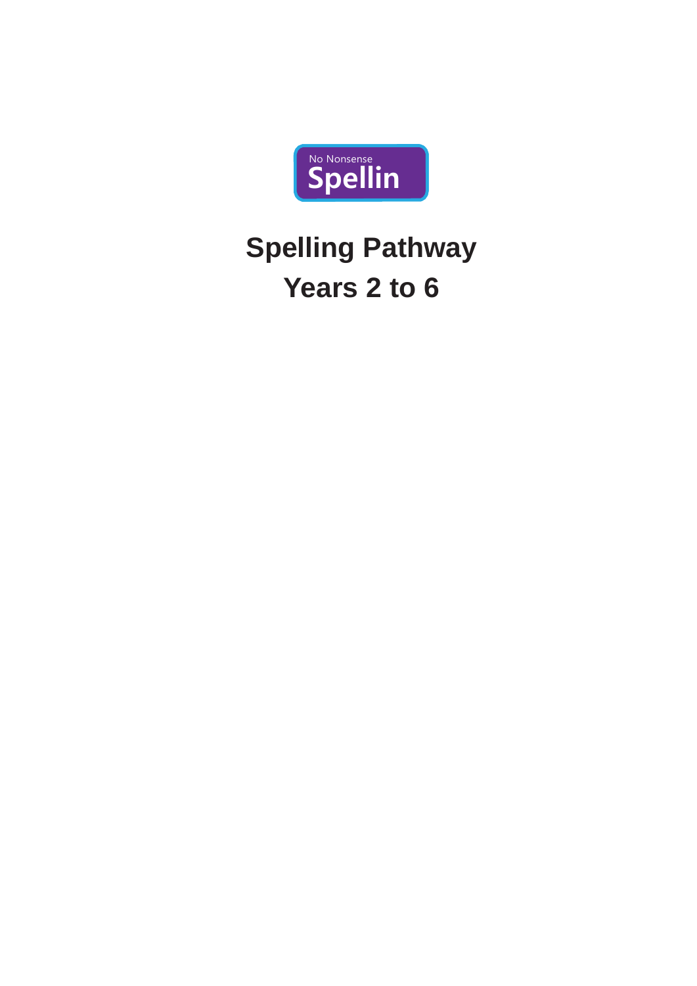

# **Spelling Pathway Years 2 to 6**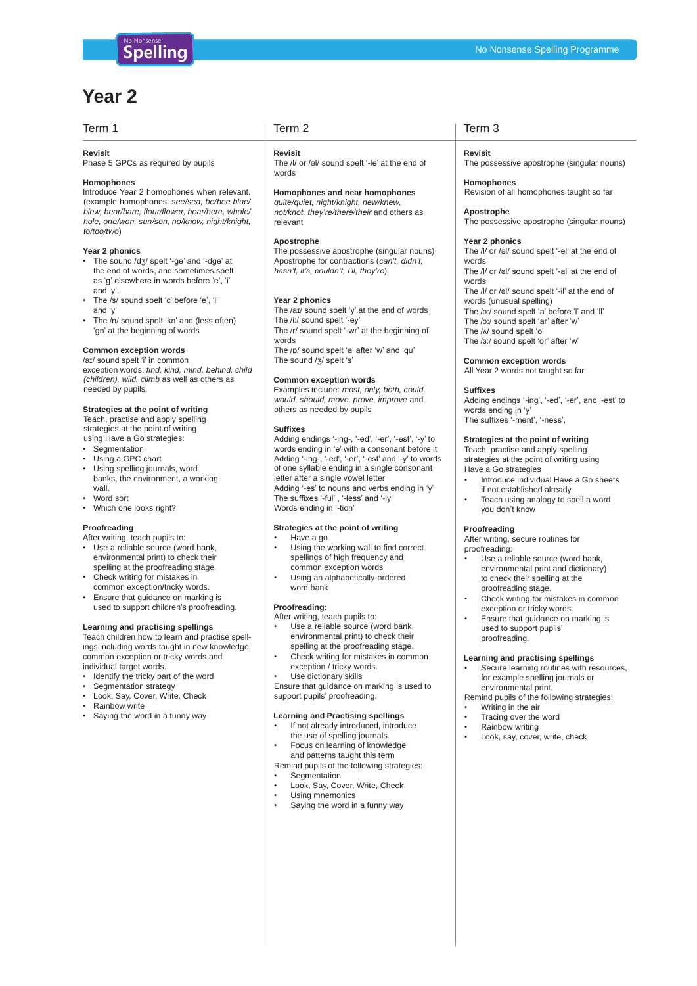# **Year 2**

# Term 1 Term 2 Term 2 Term 3

# **Revisit**

Phase 5 GPCs as required by pupils

# **Homophones**

Introduce Year 2 homophones when relevant. (example homophones: *see/sea, be/bee blue/ blew, bear/bare, flour/flower, hear/here, whole/ hole, one/won, sun/son, no/know, night/knight, to/too/two*)

# **Year 2 phonics**

- The sound /dʒ/ spelt '-ge' and '-dge' at the end of words, and sometimes spelt as 'g' elsewhere in words before 'e', 'i' and 'y'.
- The /s/ sound spelt 'c' before 'e', 'i' and 'y'
- The /n/ sound spelt 'kn' and (less often) 'gn' at the beginning of words

# **Common exception words**

/aɪ/ sound spelt 'i' in common exception words: *find, kind, mind, behind, child (children), wild, climb* as well as others as needed by pupils.

# **Strategies at the point of writing**

Teach, practise and apply spelling strategies at the point of writing using Have a Go strategies:

- **Segmentation**
- Using a GPC chart
- Using spelling journals, word banks, the environment, a working wall
- Word sort
- Which one looks right?

# **Proofreading**

- After writing, teach pupils to: Use a reliable source (word bank, environmental print) to check their spelling at the proofreading stage.
- Check writing for mistakes in common exception/tricky words.
- Ensure that guidance on marking is used to support children's proofreading.

# **Learning and practising spellings**

Teach children how to learn and practise spellings including words taught in new knowledge, common exception or tricky words and individual target words.

- Identify the tricky part of the word
- Segmentation strategy
- Look, Say, Cover, Write, Check
- Rainbow write
- Saying the word in a funny way

# **Revisit**

The /l/ or /əl/ sound spelt '-le' at the end of words

**Homophones and near homophones**  *quite/quiet, night/knight, new/knew, not/knot, they're/there/their* and others as relevant

# **Apostrophe**

The possessive apostrophe (singular nouns) Apostrophe for contractions (*can't, didn't, hasn't, it's, couldn't, I'll, they're*)

# **Year 2 phonics**

The /aɪ/ sound spelt 'y' at the end of words The /i:/ sound spelt '-ey' The /r/ sound spelt '-wr' at the beginning of words The /ɒ/ sound spelt 'a' after 'w' and 'qu'

The sound /ʒ/ spelt 's'

# **Common exception words**

Examples include: *most, only, both, could, would, should, move, prove, improve* and others as needed by pupils

# **Suffixes**

Adding endings '-ing-, '-ed', '-er', '-est', '-y' to words ending in 'e' with a consonant before it Adding '-ing-, '-ed', '-er', '-est' and '-y' to words of one syllable ending in a single consonant letter after a single vowel letter Adding '-es' to nouns and verbs ending in 'y' The suffixes '-ful' , '-less' and '-ly' Words ending in '-tion'

# **Strategies at the point of writing**

- Have a go
- Using the working wall to find correct spellings of high frequency and common exception words
- Using an alphabetically-ordered word bank

# **Proofreading:**

After writing, teach pupils to:

- Use a reliable source (word bank, environmental print) to check their
- spelling at the proofreading stage. Check writing for mistakes in common
- exception / tricky words. Use dictionary skills

Ensure that guidance on marking is used to support pupils' proofreading

# **Learning and Practising spellings**

If not already introduced, introduce the use of spelling journals.

- Focus on learning of knowledge and patterns taught this term
- Remind pupils of the following strategies: **Segmentation**
- Look, Say, Cover, Write, Check
- Using mnemonics
- Saying the word in a funny way

# **Revisit**

The possessive apostrophe (singular nouns)

# **Homophones**

Revision of all homophones taught so far

# **Apostrophe**

The possessive apostrophe (singular nouns)

# **Year 2 phonics**

The /l/ or /əl/ sound spelt '-el' at the end of words The /l/ or /əl/ sound spelt '-al' at the end of words The /l/ or /əl/ sound spelt '-il' at the end of words (unusual spelling) The /o:/ sound spelt 'a' before 'l' and 'll' The /ɔ:/ sound spelt 'ar' after 'w' The / $N$  sound spelt 'o' The /ɜ:/ sound spelt 'or' after 'w'

# **Common exception words**

All Year 2 words not taught so far

### **Suffixes**

Adding endings '-ing', '-ed', '-er', and '-est' to words ending in 'y The suffixes '-ment', '-ness',

# **Strategies at the point of writing**

Teach, practise and apply spelling strategies at the point of writing using Have a Go strategies

- Introduce individual Have a Go sheets if not established already
- Teach using analogy to spell a word you don't know

# **Proofreading**

After writing, secure routines for proofreading:

- Use a reliable source (word bank, environmental print and dictionary) to check their spelling at the proofreading stage.
- Check writing for mistakes in common exception or tricky words.
- Ensure that guidance on marking is used to support pupils' proofreading.

# **Learning and practising spellings**

Secure learning routines with resources, for example spelling journals or environmental print.

Remind pupils of the following strategies: • Writing in the air

- Tracing over the word
- Rainbow writing
- Look, say, cover, write, check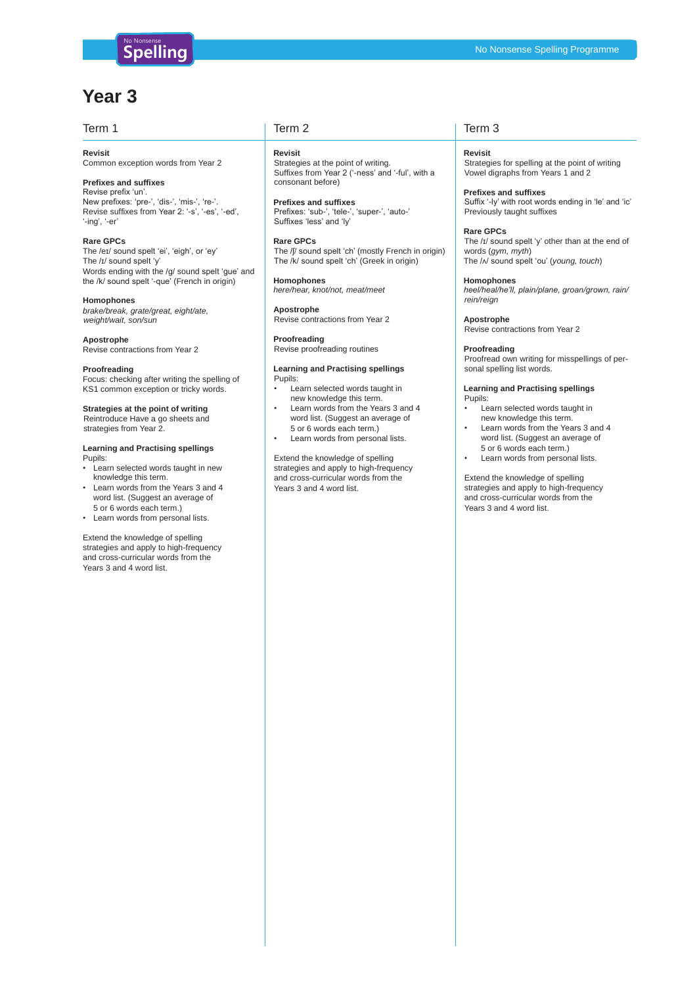# **Year 3**

# Term 1 Term 2 Term 2 Term 3

# **Revisit**

Common exception words from Year 2

# **Prefixes and suffixes**

Revise prefix 'un'. New prefixes: 'pre-', 'dis-', 'mis-', 're-'. Revise suffixes from Year 2: '-s', '-es', '-ed', '-ing', '-er'

# **Rare GPCs**

The /eɪ/ sound spelt 'ei', 'eigh', or 'ey' The /ɪ/ sound spelt 'y' Words ending with the /g/ sound spelt 'gue' and the /k/ sound spelt '-que' (French in origin)

# **Homophones**

*brake/break, grate/great, eight/ate, weight/wait, son/sun*

# **Apostrophe**

Revise contractions from Year 2

# **Proofreading**

Focus: checking after writing the spelling of KS1 common exception or tricky words.

**Strategies at the point of writing**  Reintroduce Have a go sheets and strategies from Year 2.

### **Learning and Practising spellings** Pupils:

- Learn selected words taught in new knowledge this term.
- Learn words from the Years 3 and 4 word list. (Suggest an average of 5 or 6 words each term.)
- Learn words from personal lists.

Extend the knowledge of spelling strategies and apply to high-frequency and cross-curricular words from the Years 3 and 4 word list.

**Revisit** Strategies at the point of writing. Suffixes from Year 2 ('-ness' and '-ful', with a consonant before)

**Prefixes and suffixes** Prefixes: 'sub-', 'tele-', 'super-', 'auto-' Suffixes 'less' and 'ly'

**Rare GPCs** The /ʃ/ sound spelt 'ch' (mostly French in origin) The /k/ sound spelt 'ch' (Greek in origin)

**Homophones** *here/hear, knot/not, meat/meet*

**Apostrophe** Revise contractions from Year 2

# **Proofreading**

Revise proofreading routines

# **Learning and Practising spellings** Pupils:

- Learn selected words taught in new knowledge this term.
- Learn words from the Years 3 and 4 word list. (Suggest an average of 5 or 6 words each term.)
- Learn words from personal lists.

Extend the knowledge of spelling strategies and apply to high-frequency and cross-curricular words from the Years 3 and 4 word list.

**Revisit** Strategies for spelling at the point of writing Vowel digraphs from Years 1 and 2

**Prefixes and suffixes** Suffix '-ly' with root words ending in 'le' and 'ic' Previously taught suffixes

**Rare GPCs** The /ɪ/ sound spelt 'y' other than at the end of words (*gym, myth*) The /ʌ/ sound spelt 'ou' (*young, touch*)

# **Homophones**

*heel/heal/he'll, plain/plane, groan/grown, rain/ rein/reign*

**Apostrophe** Revise contractions from Year 2

# **Proofreading**

Proofread own writing for misspellings of personal spelling list words.

# **Learning and Practising spellings** Pupils:

- Learn selected words taught in new knowledge this term.
- Learn words from the Years 3 and 4 word list. (Suggest an average of 5 or 6 words each term.)
- Learn words from personal lists.

Extend the knowledge of spelling strategies and apply to high-frequency and cross-curricular words from the Years 3 and 4 word list.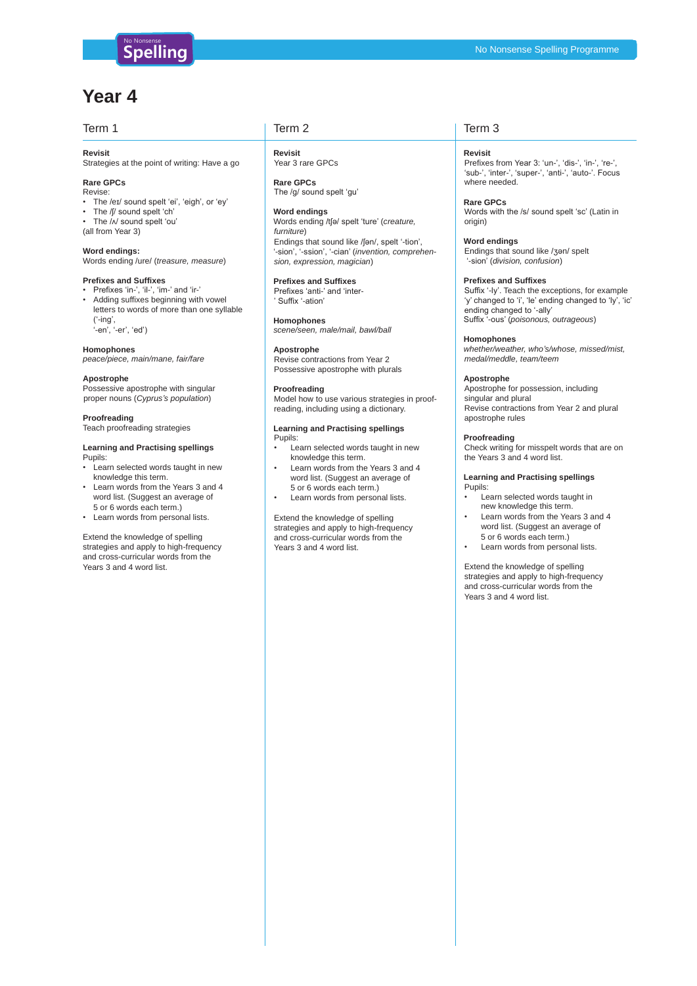# Term 1 Term 2 Term 2 Term 3

# **Revisit**

Strategies at the point of writing: Have a go

# **Rare GPCs**

- Revise: • The /eɪ/ sound spelt 'ei', 'eigh', or 'ey'
- The /ʃ/ sound spelt 'ch'
- The / N sound spelt 'ou'
- (all from Year 3)
- 

**Word endings:** Words ending /ure/ (*treasure, measure*)

# **Prefixes and Suffixes**

- Prefixes 'in-', 'il-', 'im-' and 'ir-'
- Adding suffixes beginning with vowel letters to words of more than one syllable ('-ing', '-en', '-er', 'ed')

## **Homophones**

*peace/piece, main/mane, fair/fare*

# **Apostrophe**

Possessive apostrophe with singular proper nouns (*Cyprus's population*)

# **Proofreading**

Teach proofreading strategies

### **Learning and Practising spellings** Pupils:

- Learn selected words taught in new knowledge this term.
- Learn words from the Years 3 and 4 word list. (Suggest an average of 5 or 6 words each term.)
- Learn words from personal lists.

## Extend the knowledge of spelling strategies and apply to high-frequency and cross-curricular words from the Years 3 and 4 word list.

**Revisit** Year 3 rare GPCs

**Rare GPCs** The /g/ sound spelt 'gu'

# **Word endings**

Words ending /tʃə/ spelt 'ture' (*creature, furniture*) Endings that sound like /ʃən/, spelt '-tion', '-sion', '-ssion', '-cian' (*invention, comprehension, expression, magician*)

# **Prefixes and Suffixes**

Prefixes 'anti-' and 'inter- ' Suffix '-ation'

### **Homophones**

*scene/seen, male/mail, bawl/ball*

# **Apostrophe**

Revise contractions from Year 2 Possessive apostrophe with plurals

# **Proofreading**

Model how to use various strategies in proofreading, including using a dictionary.

# **Learning and Practising spellings** Pupils:

- Learn selected words taught in new knowledge this term.
- Learn words from the Years 3 and 4 word list. (Suggest an average of 5 or 6 words each term.)
- Learn words from personal lists.

Extend the knowledge of spelling strategies and apply to high-frequency and cross-curricular words from the Years 3 and 4 word list.

# **Revisit**

Prefixes from Year 3: 'un-', 'dis-', 'in-', 're-', 'sub-', 'inter-', 'super-', 'anti-', 'auto-'. Focus where needed.

# **Rare GPCs**

Words with the /s/ sound spelt 'sc' (Latin in origin)

# **Word endings**

Endings that sound like /ʒən/ spelt '-sion' (*division, confusion*)

# **Prefixes and Suffixes**

Suffix '-ly'. Teach the exceptions, for example 'y' changed to 'i', 'le' ending changed to 'ly', 'ic' ending changed to '-ally' Suffix '-ous' (*poisonous, outrageous*)

# **Homophones**

*whether/weather, who's/whose, missed/mist, medal/meddle, team/teem*

# **Apostrophe**

Apostrophe for possession, including singular and plural Revise contractions from Year 2 and plural apostrophe rules

# **Proofreading**

Check writing for misspelt words that are on the Years 3 and 4 word list.

### **Learning and Practising spellings** Pupils:

- Learn selected words taught in new knowledge this term.
- Learn words from the Years 3 and 4 word list. (Suggest an average of 5 or 6 words each term.)
- Learn words from personal lists.

Extend the knowledge of spelling strategies and apply to high-frequency and cross-curricular words from the Years 3 and 4 word list.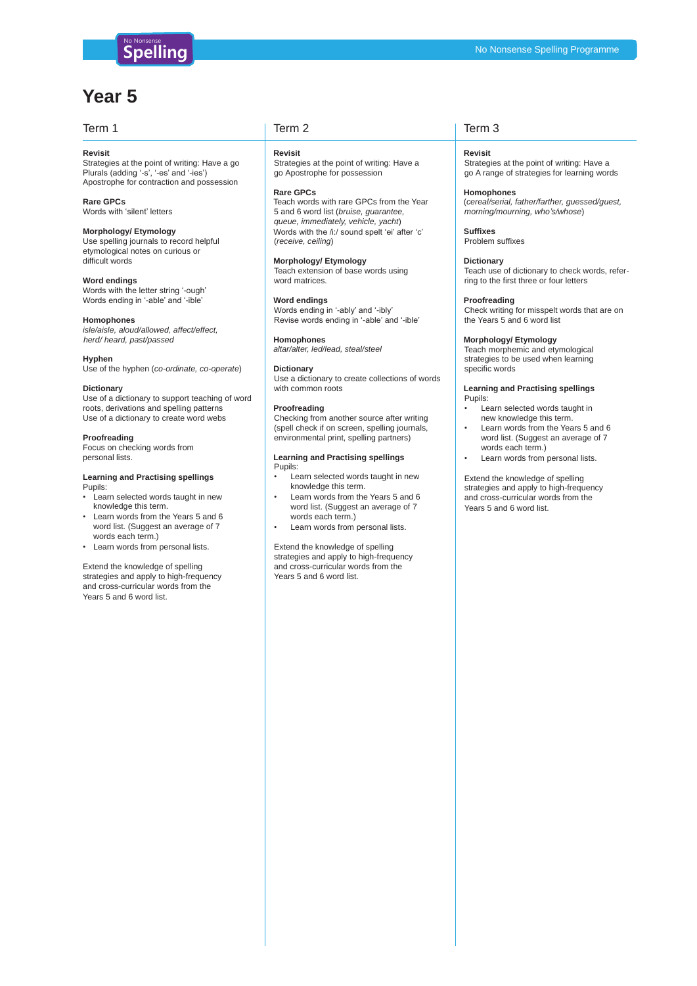# **Year 5**

# Term 1 Term 2 Term 2 Term 3

### **Revisit**

Strategies at the point of writing: Have a go Plurals (adding '-s', '-es' and '-ies') Apostrophe for contraction and possession

**Rare GPCs** Words with 'silent' letters

### **Morphology/ Etymology**

Use spelling journals to record helpful etymological notes on curious or difficult words

**Word endings** Words with the letter string '-ough' Words ending in '-able' and '-ible'

**Homophones** *isle/aisle, aloud/allowed, affect/effect, herd/ heard, past/passed*

**Hyphen** Use of the hyphen (*co-ordinate, co-operate*)

### **Dictionary**

Use of a dictionary to support teaching of word roots, derivations and spelling patterns Use of a dictionary to create word webs

# **Proofreading**

Focus on checking words from personal lists.

### **Learning and Practising spellings** Pupils:

- Learn selected words taught in new knowledge this term.
- Learn words from the Years 5 and 6 word list. (Suggest an average of 7 words each term.)
- Learn words from personal lists.

Extend the knowledge of spelling strategies and apply to high-frequency and cross-curricular words from the Years 5 and 6 word list.

### **Revisit**

Strategies at the point of writing: Have a go Apostrophe for possession

### **Rare GPCs**

Teach words with rare GPCs from the Year 5 and 6 word list (*bruise, guarantee, queue, immediately, vehicle, yacht*) Words with the /i:/ sound spelt 'ei' after 'c' (*receive, ceiling*)

# **Morphology/ Etymology**

Teach extension of base words using word matrices.

### **Word endings**

Words ending in '-ably' and '-ibly' Revise words ending in '-able' and '-ible'

# **Homophones**

*altar/alter, led/lead, steal/steel*

# **Dictionary**

Use a dictionary to create collections of words with common roots

### **Proofreading**

Checking from another source after writing (spell check if on screen, spelling journals, environmental print, spelling partners)

### **Learning and Practising spellings** Pupils:

- Learn selected words taught in new knowledge this term.
- Learn words from the Years 5 and 6 word list. (Suggest an average of 7 words each term.)
- Learn words from personal lists.

Extend the knowledge of spelling strategies and apply to high-frequency and cross-curricular words from the Years 5 and 6 word list.

### **Revisit** Strategies at the point of writing: Have a go A range of strategies for learning words

# **Homophones** (*cereal/serial, father/farther, guessed/guest,*

*morning/mourning, who's/whose*)

**Suffixes** Problem suffixes

# **Dictionary**

Teach use of dictionary to check words, referring to the first three or four letters

# **Proofreading**

Check writing for misspelt words that are on the Years 5 and 6 word list

# **Morphology/ Etymology**

Teach morphemic and etymological strategies to be used when learning specific words

# **Learning and Practising spellings** Pupils:

- Learn selected words taught in new knowledge this term.
- Learn words from the Years 5 and 6 word list. (Suggest an average of 7 words each term.)
- Learn words from personal lists.

Extend the knowledge of spelling strategies and apply to high-frequency and cross-curricular words from the Years 5 and 6 word list.